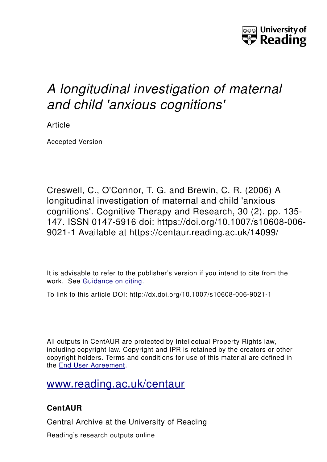

# *A longitudinal investigation of maternal and child 'anxious cognitions'*

Article

Accepted Version

Creswell, C., O'Connor, T. G. and Brewin, C. R. (2006) A longitudinal investigation of maternal and child 'anxious cognitions'. Cognitive Therapy and Research, 30 (2). pp. 135- 147. ISSN 0147-5916 doi: https://doi.org/10.1007/s10608-006- 9021-1 Available at https://centaur.reading.ac.uk/14099/

It is advisable to refer to the publisher's version if you intend to cite from the work. See [Guidance on citing.](http://centaur.reading.ac.uk/71187/10/CentAUR%20citing%20guide.pdf)

To link to this article DOI: http://dx.doi.org/10.1007/s10608-006-9021-1

All outputs in CentAUR are protected by Intellectual Property Rights law, including copyright law. Copyright and IPR is retained by the creators or other copyright holders. Terms and conditions for use of this material are defined in the [End User Agreement.](http://centaur.reading.ac.uk/licence)

[www.reading.ac.uk/centaur](http://www.reading.ac.uk/centaur)

# **CentAUR**

Central Archive at the University of Reading

Reading's research outputs online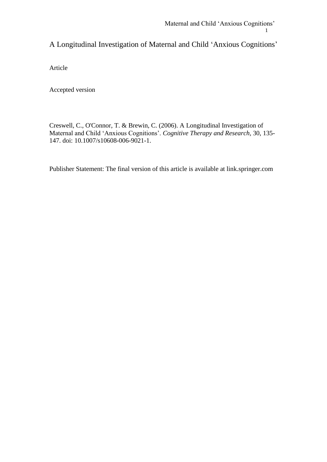# A Longitudinal Investigation of Maternal and Child 'Anxious Cognitions'

Article

Accepted version

Creswell, C., O'Connor, T. & Brewin, C. (2006). A Longitudinal Investigation of Maternal and Child 'Anxious Cognitions'. *Cognitive Therapy and Research,* 30, 135- 147. doi: 10.1007/s10608-006-9021-1.

Publisher Statement: The final version of this article is available at link.springer.com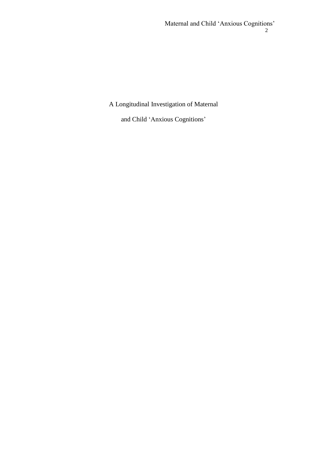## A Longitudinal Investigation of Maternal

and Child 'Anxious Cognitions'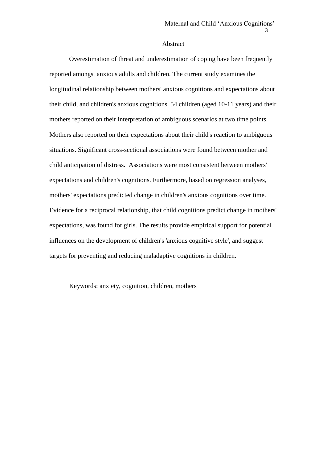#### Abstract

Overestimation of threat and underestimation of coping have been frequently reported amongst anxious adults and children. The current study examines the longitudinal relationship between mothers' anxious cognitions and expectations about their child, and children's anxious cognitions. 54 children (aged 10-11 years) and their mothers reported on their interpretation of ambiguous scenarios at two time points. Mothers also reported on their expectations about their child's reaction to ambiguous situations. Significant cross-sectional associations were found between mother and child anticipation of distress. Associations were most consistent between mothers' expectations and children's cognitions. Furthermore, based on regression analyses, mothers' expectations predicted change in children's anxious cognitions over time. Evidence for a reciprocal relationship, that child cognitions predict change in mothers' expectations, was found for girls. The results provide empirical support for potential influences on the development of children's 'anxious cognitive style', and suggest targets for preventing and reducing maladaptive cognitions in children.

Keywords: anxiety, cognition, children, mothers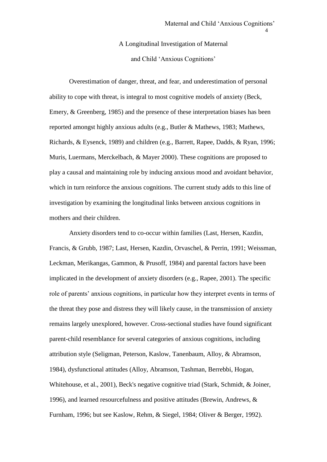A Longitudinal Investigation of Maternal and Child 'Anxious Cognitions'

Overestimation of danger, threat, and fear, and underestimation of personal ability to cope with threat, is integral to most cognitive models of anxiety (Beck, Emery, & Greenberg, 1985) and the presence of these interpretation biases has been reported amongst highly anxious adults (e.g., Butler & Mathews, 1983; Mathews, Richards, & Eysenck, 1989) and children (e.g., Barrett, Rapee, Dadds, & Ryan, 1996; Muris, Luermans, Merckelbach, & Mayer 2000). These cognitions are proposed to play a causal and maintaining role by inducing anxious mood and avoidant behavior, which in turn reinforce the anxious cognitions. The current study adds to this line of investigation by examining the longitudinal links between anxious cognitions in mothers and their children.

Anxiety disorders tend to co-occur within families (Last, Hersen, Kazdin, Francis, & Grubb, 1987; Last, Hersen, Kazdin, Orvaschel, & Perrin, 1991; Weissman, Leckman, Merikangas, Gammon, & Prusoff, 1984) and parental factors have been implicated in the development of anxiety disorders (e.g., Rapee, 2001). The specific role of parents' anxious cognitions, in particular how they interpret events in terms of the threat they pose and distress they will likely cause, in the transmission of anxiety remains largely unexplored, however. Cross-sectional studies have found significant parent-child resemblance for several categories of anxious cognitions, including attribution style (Seligman, Peterson, Kaslow, Tanenbaum, Alloy, & Abramson, 1984), dysfunctional attitudes (Alloy, Abramson, Tashman, Berrebbi, Hogan, Whitehouse, et al., 2001), Beck's negative cognitive triad (Stark, Schmidt, & Joiner, 1996), and learned resourcefulness and positive attitudes (Brewin, Andrews, & Furnham, 1996; but see Kaslow, Rehm, & Siegel, 1984; Oliver & Berger, 1992).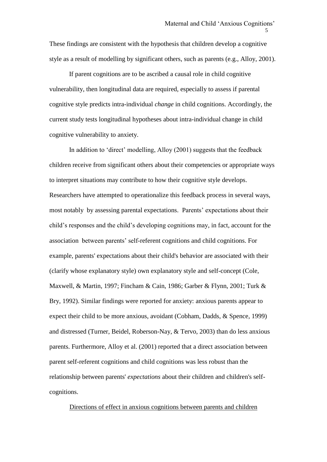These findings are consistent with the hypothesis that children develop a cognitive style as a result of modelling by significant others, such as parents (e.g., Alloy, 2001).

If parent cognitions are to be ascribed a causal role in child cognitive vulnerability, then longitudinal data are required, especially to assess if parental cognitive style predicts intra-individual *change* in child cognitions. Accordingly, the current study tests longitudinal hypotheses about intra-individual change in child cognitive vulnerability to anxiety.

In addition to 'direct' modelling, Alloy (2001) suggests that the feedback children receive from significant others about their competencies or appropriate ways to interpret situations may contribute to how their cognitive style develops. Researchers have attempted to operationalize this feedback process in several ways, most notably by assessing parental expectations. Parents' expectations about their child's responses and the child's developing cognitions may, in fact, account for the association between parents' self-referent cognitions and child cognitions. For example, parents' expectations about their child's behavior are associated with their (clarify whose explanatory style) own explanatory style and self-concept (Cole, Maxwell, & Martin, 1997; Fincham & Cain, 1986; Garber & Flynn, 2001; Turk & Bry, 1992). Similar findings were reported for anxiety: anxious parents appear to expect their child to be more anxious, avoidant (Cobham, Dadds, & Spence, 1999) and distressed (Turner, Beidel, Roberson-Nay, & Tervo, 2003) than do less anxious parents. Furthermore, Alloy et al. (2001) reported that a direct association between parent self-referent cognitions and child cognitions was less robust than the relationship between parents' *expectations* about their children and children's selfcognitions.

#### Directions of effect in anxious cognitions between parents and children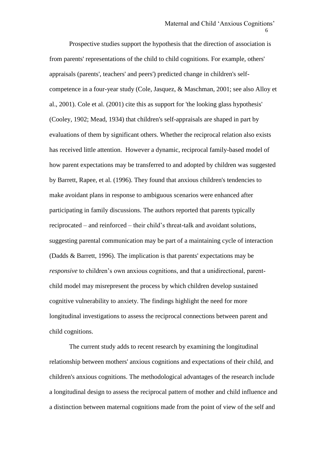Prospective studies support the hypothesis that the direction of association is from parents' representations of the child to child cognitions. For example, others' appraisals (parents', teachers' and peers') predicted change in children's selfcompetence in a four-year study (Cole, Jasquez, & Maschman, 2001; see also Alloy et al., 2001). Cole et al. (2001) cite this as support for 'the looking glass hypothesis' (Cooley, 1902; Mead, 1934) that children's self-appraisals are shaped in part by evaluations of them by significant others. Whether the reciprocal relation also exists has received little attention. However a dynamic, reciprocal family-based model of how parent expectations may be transferred to and adopted by children was suggested by Barrett, Rapee, et al. (1996). They found that anxious children's tendencies to make avoidant plans in response to ambiguous scenarios were enhanced after participating in family discussions. The authors reported that parents typically reciprocated – and reinforced – their child's threat-talk and avoidant solutions, suggesting parental communication may be part of a maintaining cycle of interaction (Dadds & Barrett, 1996). The implication is that parents' expectations may be *responsive* to children's own anxious cognitions, and that a unidirectional, parentchild model may misrepresent the process by which children develop sustained cognitive vulnerability to anxiety. The findings highlight the need for more longitudinal investigations to assess the reciprocal connections between parent and child cognitions.

The current study adds to recent research by examining the longitudinal relationship between mothers' anxious cognitions and expectations of their child, and children's anxious cognitions. The methodological advantages of the research include a longitudinal design to assess the reciprocal pattern of mother and child influence and a distinction between maternal cognitions made from the point of view of the self and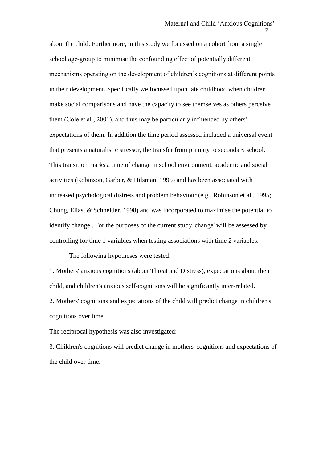about the child. Furthermore, in this study we focussed on a cohort from a single school age-group to minimise the confounding effect of potentially different mechanisms operating on the development of children's cognitions at different points in their development. Specifically we focussed upon late childhood when children make social comparisons and have the capacity to see themselves as others perceive them (Cole et al., 2001), and thus may be particularly influenced by others' expectations of them. In addition the time period assessed included a universal event that presents a naturalistic stressor, the transfer from primary to secondary school. This transition marks a time of change in school environment, academic and social activities (Robinson, Garber, & Hilsman, 1995) and has been associated with increased psychological distress and problem behaviour (e.g., Robinson et al., 1995; Chung, Elias, & Schneider, 1998) and was incorporated to maximise the potential to identify change . For the purposes of the current study 'change' will be assessed by controlling for time 1 variables when testing associations with time 2 variables.

 $7\,$ 

The following hypotheses were tested:

1. Mothers' anxious cognitions (about Threat and Distress), expectations about their child, and children's anxious self-cognitions will be significantly inter-related. 2. Mothers' cognitions and expectations of the child will predict change in children's cognitions over time.

The reciprocal hypothesis was also investigated:

3. Children's cognitions will predict change in mothers' cognitions and expectations of the child over time.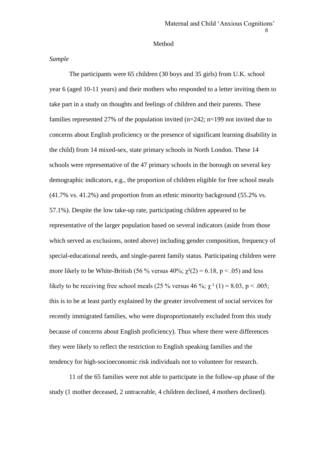#### Method

#### *Sample*

The participants were 65 children (30 boys and 35 girls) from U.K. school year 6 (aged 10-11 years) and their mothers who responded to a letter inviting them to take part in a study on thoughts and feelings of children and their parents. These families represented 27% of the population invited (n=242; n=199 not invited due to concerns about English proficiency or the presence of significant learning disability in the child) from 14 mixed-sex, state primary schools in North London. These 14 schools were representative of the 47 primary schools in the borough on several key demographic indicators, e.g., the proportion of children eligible for free school meals (41.7% vs. 41.2%) and proportion from an ethnic minority background (55.2% vs. 57.1%). Despite the low take-up rate, participating children appeared to be representative of the larger population based on several indicators (aside from those which served as exclusions, noted above) including gender composition, frequency of special-educational needs, and single-parent family status. Participating children were more likely to be White-British (56 % versus 40%;  $\chi^2(2) = 6.18$ , p < .05) and less likely to be receiving free school meals (25 % versus 46 %;  $\chi^2$  (1) = 8.03, p < .005; this is to be at least partly explained by the greater involvement of social services for recently immigrated families, who were disproportionately excluded from this study because of concerns about English proficiency). Thus where there were differences they were likely to reflect the restriction to English speaking families and the tendency for high-socioeconomic risk individuals not to volunteer for research.

11 of the 65 families were not able to participate in the follow-up phase of the study (1 mother deceased, 2 untraceable, 4 children declined, 4 mothers declined).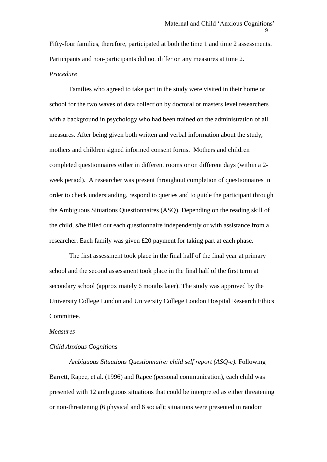Fifty-four families, therefore, participated at both the time 1 and time 2 assessments. Participants and non-participants did not differ on any measures at time 2.

#### *Procedure*

Families who agreed to take part in the study were visited in their home or school for the two waves of data collection by doctoral or masters level researchers with a background in psychology who had been trained on the administration of all measures. After being given both written and verbal information about the study, mothers and children signed informed consent forms. Mothers and children completed questionnaires either in different rooms or on different days (within a 2 week period). A researcher was present throughout completion of questionnaires in order to check understanding, respond to queries and to guide the participant through the Ambiguous Situations Questionnaires (ASQ). Depending on the reading skill of the child, s/he filled out each questionnaire independently or with assistance from a researcher. Each family was given £20 payment for taking part at each phase.

The first assessment took place in the final half of the final year at primary school and the second assessment took place in the final half of the first term at secondary school (approximately 6 months later). The study was approved by the University College London and University College London Hospital Research Ethics Committee.

#### *Measures*

#### *Child Anxious Cognitions*

*Ambiguous Situations Questionnaire: child self report (ASQ-c).* Following Barrett, Rapee, et al. (1996) and Rapee (personal communication), each child was presented with 12 ambiguous situations that could be interpreted as either threatening or non-threatening (6 physical and 6 social); situations were presented in random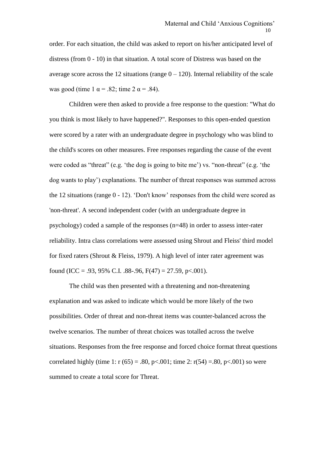order. For each situation, the child was asked to report on his/her anticipated level of distress (from  $0 - 10$ ) in that situation. A total score of Distress was based on the average score across the 12 situations (range  $0 - 120$ ). Internal reliability of the scale was good (time 1  $\alpha$  = .82; time 2  $\alpha$  = .84).

Children were then asked to provide a free response to the question: "What do you think is most likely to have happened?". Responses to this open-ended question were scored by a rater with an undergraduate degree in psychology who was blind to the child's scores on other measures. Free responses regarding the cause of the event were coded as "threat" (e.g. 'the dog is going to bite me') vs. "non-threat" (e.g. 'the dog wants to play') explanations. The number of threat responses was summed across the 12 situations (range 0 - 12). 'Don't know' responses from the child were scored as 'non-threat'. A second independent coder (with an undergraduate degree in psychology) coded a sample of the responses (n=48) in order to assess inter-rater reliability. Intra class correlations were assessed using Shrout and Fleiss' third model for fixed raters (Shrout & Fleiss, 1979). A high level of inter rater agreement was found (ICC = .93, 95% C.I. .88-.96,  $F(47) = 27.59$ , p<.001).

The child was then presented with a threatening and non-threatening explanation and was asked to indicate which would be more likely of the two possibilities. Order of threat and non-threat items was counter-balanced across the twelve scenarios. The number of threat choices was totalled across the twelve situations. Responses from the free response and forced choice format threat questions correlated highly (time 1: r  $(65) = .80$ , p<.001; time 2: r(54) = .80, p<.001) so were summed to create a total score for Threat.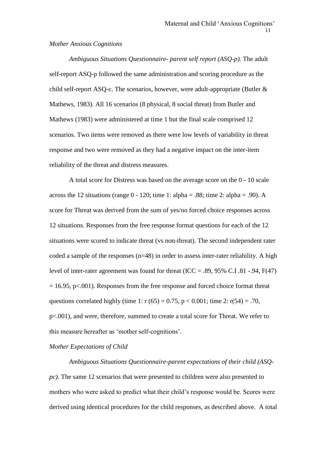#### *Mother Anxious Cognitions*

*Ambiguous Situations Questionnaire- parent self report (ASQ-p).* The adult self-report ASQ-p followed the same administration and scoring procedure as the child self-report ASQ-c. The scenarios, however, were adult-appropriate (Butler & Mathews, 1983). All 16 scenarios (8 physical, 8 social threat) from Butler and Mathews (1983) were administered at time 1 but the final scale comprised 12 scenarios. Two items were removed as there were low levels of variability in threat response and two were removed as they had a negative impact on the inter-item reliability of the threat and distress measures.

A total score for Distress was based on the average score on the 0 - 10 scale across the 12 situations (range  $0 - 120$ ; time 1: alpha = .88; time 2: alpha = .90). A score for Threat was derived from the sum of yes/no forced choice responses across 12 situations. Responses from the free response format questions for each of the 12 situations were scored to indicate threat (vs non-threat). The second independent rater coded a sample of the responses  $(n=48)$  in order to assess inter-rater reliability. A high level of inter-rater agreement was found for threat (ICC = .89, 95% C.I. 81 -.94,  $F(47)$ )  $= 16.95$ , p $< 0.001$ ). Responses from the free response and forced choice format threat questions correlated highly (time 1:  $r(65) = 0.75$ ,  $p < 0.001$ ; time 2:  $r(54) = .70$ , p<.001), and were, therefore, summed to create a total score for Threat. We refer to this measure hereafter as 'mother self-cognitions'.

#### *Mother Expectations of Child*

*Ambiguous Situations Questionnaire-parent expectations of their child (ASQpc).* The same 12 scenarios that were presented to children were also presented to mothers who were asked to predict what their child's response would be. Scores were derived using identical procedures for the child responses, as described above. A total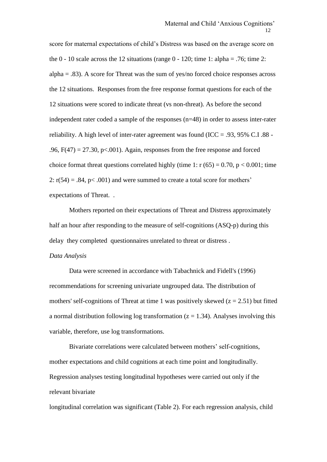score for maternal expectations of child's Distress was based on the average score on the  $0 - 10$  scale across the 12 situations (range  $0 - 120$ ; time 1: alpha = .76; time 2: alpha = .83). A score for Threat was the sum of yes/no forced choice responses across the 12 situations. Responses from the free response format questions for each of the 12 situations were scored to indicate threat (vs non-threat). As before the second independent rater coded a sample of the responses (n=48) in order to assess inter-rater reliability. A high level of inter-rater agreement was found (ICC = .93, 95% C.I.88 -.96,  $F(47) = 27.30$ ,  $p < .001$ ). Again, responses from the free response and forced choice format threat questions correlated highly (time 1:  $r(65) = 0.70$ ,  $p < 0.001$ ; time 2:  $r(54) = .84$ ,  $p< .001$ ) and were summed to create a total score for mothers' expectations of Threat. .

Mothers reported on their expectations of Threat and Distress approximately half an hour after responding to the measure of self-cognitions (ASQ-p) during this delay they completed questionnaires unrelated to threat or distress .

#### *Data Analysis*

Data were screened in accordance with Tabachnick and Fidell's (1996) recommendations for screening univariate ungrouped data. The distribution of mothers' self-cognitions of Threat at time 1 was positively skewed  $(z = 2.51)$  but fitted a normal distribution following log transformation  $(z = 1.34)$ . Analyses involving this variable, therefore, use log transformations.

Bivariate correlations were calculated between mothers' self-cognitions, mother expectations and child cognitions at each time point and longitudinally. Regression analyses testing longitudinal hypotheses were carried out only if the relevant bivariate

longitudinal correlation was significant (Table 2). For each regression analysis, child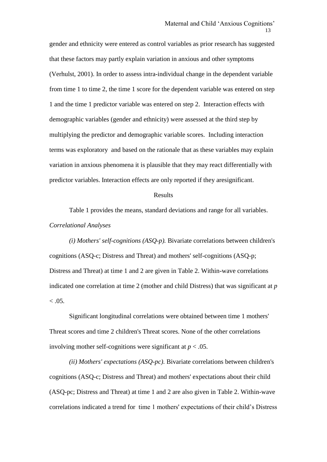gender and ethnicity were entered as control variables as prior research has suggested that these factors may partly explain variation in anxious and other symptoms (Verhulst, 2001). In order to assess intra-individual change in the dependent variable from time 1 to time 2, the time 1 score for the dependent variable was entered on step 1 and the time 1 predictor variable was entered on step 2. Interaction effects with demographic variables (gender and ethnicity) were assessed at the third step by multiplying the predictor and demographic variable scores. Including interaction terms was exploratory and based on the rationale that as these variables may explain variation in anxious phenomena it is plausible that they may react differentially with predictor variables. Interaction effects are only reported if they aresignificant.

#### Results

Table 1 provides the means, standard deviations and range for all variables. *Correlational Analyses*

*(i) Mothers' self-cognitions (ASQ-p).* Bivariate correlations between children's cognitions (ASQ-c; Distress and Threat) and mothers' self-cognitions (ASQ-p; Distress and Threat) at time 1 and 2 are given in Table 2. Within-wave correlations indicated one correlation at time 2 (mother and child Distress) that was significant at *p*   $< 0.05$ .

Significant longitudinal correlations were obtained between time 1 mothers' Threat scores and time 2 children's Threat scores. None of the other correlations involving mother self-cognitions were significant at  $p < .05$ .

*(ii) Mothers' expectations (ASQ-pc).* Bivariate correlations between children's cognitions (ASQ-c; Distress and Threat) and mothers' expectations about their child (ASQ-pc; Distress and Threat) at time 1 and 2 are also given in Table 2. Within-wave correlations indicated a trend for time 1 mothers' expectations of their child's Distress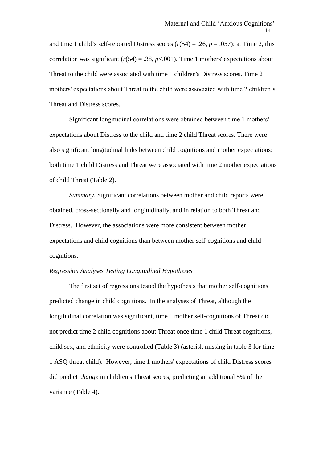and time 1 child's self-reported Distress scores  $(r(54) = .26, p = .057)$ ; at Time 2, this correlation was significant  $(r(54) = .38, p < .001)$ . Time 1 mothers' expectations about Threat to the child were associated with time 1 children's Distress scores. Time 2 mothers' expectations about Threat to the child were associated with time 2 children's Threat and Distress scores.

Significant longitudinal correlations were obtained between time 1 mothers' expectations about Distress to the child and time 2 child Threat scores. There were also significant longitudinal links between child cognitions and mother expectations: both time 1 child Distress and Threat were associated with time 2 mother expectations of child Threat (Table 2).

*Summary.* Significant correlations between mother and child reports were obtained, cross-sectionally and longitudinally, and in relation to both Threat and Distress. However, the associations were more consistent between mother expectations and child cognitions than between mother self-cognitions and child cognitions.

#### *Regression Analyses Testing Longitudinal Hypotheses*

The first set of regressions tested the hypothesis that mother self-cognitions predicted change in child cognitions. In the analyses of Threat, although the longitudinal correlation was significant, time 1 mother self-cognitions of Threat did not predict time 2 child cognitions about Threat once time 1 child Threat cognitions, child sex, and ethnicity were controlled (Table 3) (asterisk missing in table 3 for time 1 ASQ threat child). However, time 1 mothers' expectations of child Distress scores did predict *change* in children's Threat scores, predicting an additional 5% of the variance (Table 4).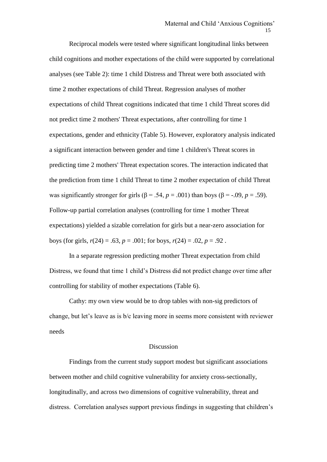Reciprocal models were tested where significant longitudinal links between child cognitions and mother expectations of the child were supported by correlational analyses (see Table 2): time 1 child Distress and Threat were both associated with time 2 mother expectations of child Threat. Regression analyses of mother expectations of child Threat cognitions indicated that time 1 child Threat scores did not predict time 2 mothers' Threat expectations, after controlling for time 1 expectations, gender and ethnicity (Table 5). However, exploratory analysis indicated a significant interaction between gender and time 1 children's Threat scores in predicting time 2 mothers' Threat expectation scores. The interaction indicated that the prediction from time 1 child Threat to time 2 mother expectation of child Threat was significantly stronger for girls ( $\beta$  = .54, *p* = .001) than boys ( $\beta$  = -.09, *p* = .59). Follow-up partial correlation analyses (controlling for time 1 mother Threat expectations) yielded a sizable correlation for girls but a near-zero association for boys (for girls,  $r(24) = .63$ ,  $p = .001$ ; for boys,  $r(24) = .02$ ,  $p = .92$ .

In a separate regression predicting mother Threat expectation from child Distress, we found that time 1 child's Distress did not predict change over time after controlling for stability of mother expectations (Table 6).

Cathy: my own view would be to drop tables with non-sig predictors of change, but let's leave as is b/c leaving more in seems more consistent with reviewer needs

#### Discussion

Findings from the current study support modest but significant associations between mother and child cognitive vulnerability for anxiety cross-sectionally, longitudinally, and across two dimensions of cognitive vulnerability, threat and distress. Correlation analyses support previous findings in suggesting that children's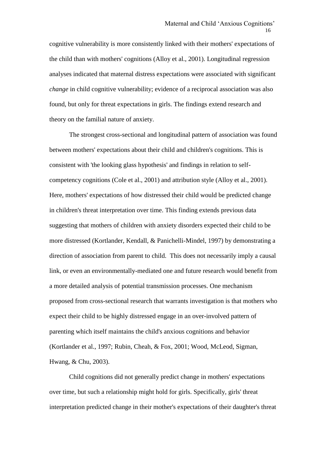cognitive vulnerability is more consistently linked with their mothers' expectations of the child than with mothers' cognitions (Alloy et al., 2001). Longitudinal regression analyses indicated that maternal distress expectations were associated with significant *change* in child cognitive vulnerability; evidence of a reciprocal association was also found, but only for threat expectations in girls. The findings extend research and theory on the familial nature of anxiety.

The strongest cross-sectional and longitudinal pattern of association was found between mothers' expectations about their child and children's cognitions. This is consistent with 'the looking glass hypothesis' and findings in relation to selfcompetency cognitions (Cole et al., 2001) and attribution style (Alloy et al., 2001). Here, mothers' expectations of how distressed their child would be predicted change in children's threat interpretation over time. This finding extends previous data suggesting that mothers of children with anxiety disorders expected their child to be more distressed (Kortlander, Kendall, & Panichelli-Mindel, 1997) by demonstrating a direction of association from parent to child. This does not necessarily imply a causal link, or even an environmentally-mediated one and future research would benefit from a more detailed analysis of potential transmission processes. One mechanism proposed from cross-sectional research that warrants investigation is that mothers who expect their child to be highly distressed engage in an over-involved pattern of parenting which itself maintains the child's anxious cognitions and behavior (Kortlander et al., 1997; Rubin, Cheah, & Fox, 2001; Wood, McLeod, Sigman, Hwang, & Chu, 2003).

Child cognitions did not generally predict change in mothers' expectations over time, but such a relationship might hold for girls. Specifically, girls' threat interpretation predicted change in their mother's expectations of their daughter's threat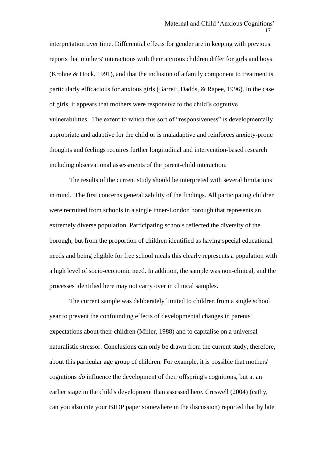interpretation over time. Differential effects for gender are in keeping with previous reports that mothers' interactions with their anxious children differ for girls and boys (Krohne & Hock, 1991), and that the inclusion of a family component to treatment is particularly efficacious for anxious girls (Barrett, Dadds, & Rapee, 1996). In the case of girls, it appears that mothers were responsive to the child's cognitive vulnerabilities. The extent to which this sort of "responsiveness" is developmentally appropriate and adaptive for the child or is maladaptive and reinforces anxiety-prone thoughts and feelings requires further longitudinal and intervention-based research including observational assessments of the parent-child interaction.

The results of the current study should be interpreted with several limitations in mind. The first concerns generalizability of the findings. All participating children were recruited from schools in a single inner-London borough that represents an extremely diverse population. Participating schools reflected the diversity of the borough, but from the proportion of children identified as having special educational needs and being eligible for free school meals this clearly represents a population with a high level of socio-economic need. In addition, the sample was non-clinical, and the processes identified here may not carry over in clinical samples.

The current sample was deliberately limited to children from a single school year to prevent the confounding effects of developmental changes in parents' expectations about their children (Miller, 1988) and to capitalise on a universal naturalistic stressor. Conclusions can only be drawn from the current study, therefore, about this particular age group of children. For example, it is possible that mothers' cognitions *do* influence the development of their offspring's cognitions, but at an earlier stage in the child's development than assessed here. Creswell (2004) (cathy, can you also cite your BJDP paper somewhere in the discussion) reported that by late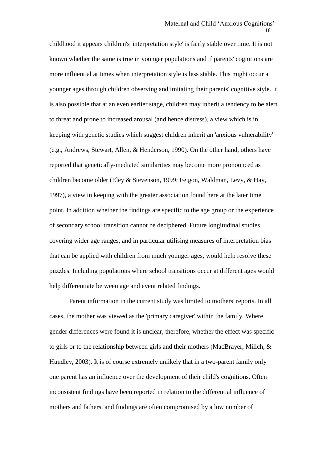childhood it appears children's 'interpretation style' is fairly stable over time. It is not known whether the same is true in younger populations and if parents' cognitions are more influential at times when interpretation style is less stable. This might occur at younger ages through children observing and imitating their parents' cognitive style. It is also possible that at an even earlier stage, children may inherit a tendency to be alert to threat and prone to increased arousal (and hence distress), a view which is in keeping with genetic studies which suggest children inherit an 'anxious vulnerability' (e.g., Andrews, Stewart, Allen, & Henderson, 1990). On the other hand, others have reported that genetically-mediated similarities may become more pronounced as children become older (Eley & Stevenson, 1999; Feigon, Waldman, Levy, & Hay, 1997), a view in keeping with the greater association found here at the later time point. In addition whether the findings are specific to the age group or the experience of secondary school transition cannot be deciphered. Future longitudinal studies covering wider age ranges, and in particular utilising measures of interpretation bias that can be applied with children from much younger ages, would help resolve these puzzles. Including populations where school transitions occur at different ages would help differentiate between age and event related findings.

Parent information in the current study was limited to mothers' reports. In all cases, the mother was viewed as the 'primary caregiver' within the family. Where gender differences were found it is unclear, therefore, whether the effect was specific to girls or to the relationship between girls and their mothers (MacBrayer, Milich, & Hundley, 2003). It is of course extremely unlikely that in a two-parent family only one parent has an influence over the development of their child's cognitions. Often inconsistent findings have been reported in relation to the differential influence of mothers and fathers, and findings are often compromised by a low number of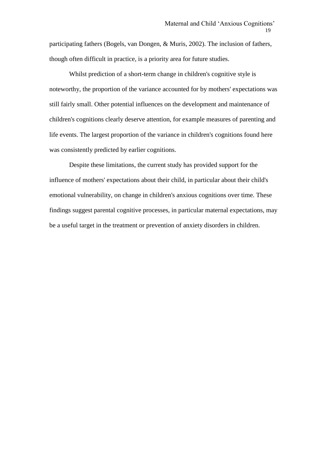participating fathers (Bogels, van Dongen, & Muris, 2002). The inclusion of fathers, though often difficult in practice, is a priority area for future studies.

Whilst prediction of a short-term change in children's cognitive style is noteworthy, the proportion of the variance accounted for by mothers' expectations was still fairly small. Other potential influences on the development and maintenance of children's cognitions clearly deserve attention, for example measures of parenting and life events. The largest proportion of the variance in children's cognitions found here was consistently predicted by earlier cognitions.

Despite these limitations, the current study has provided support for the influence of mothers' expectations about their child, in particular about their child's emotional vulnerability, on change in children's anxious cognitions over time. These findings suggest parental cognitive processes, in particular maternal expectations, may be a useful target in the treatment or prevention of anxiety disorders in children.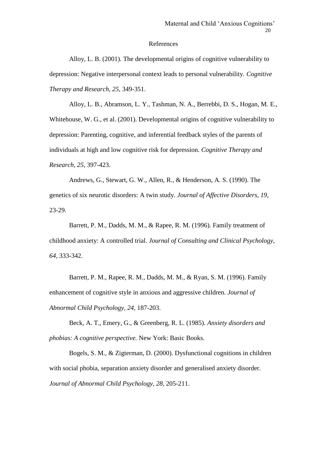#### References

Alloy, L. B. (2001). The developmental origins of cognitive vulnerability to depression: Negative interpersonal context leads to personal vulnerability. *Cognitive Therapy and Research, 25*, 349-351.

Alloy, L. B., Abramson, L. Y., Tashman, N. A., Berrebbi, D. S., Hogan, M. E., Whitehouse, W. G., et al. (2001). Developmental origins of cognitive vulnerability to depression: Parenting, cognitive, and inferential feedback styles of the parents of individuals at high and low cognitive risk for depression. *Cognitive Therapy and Research, 25,* 397-423.

Andrews, G., Stewart, G. W., Allen, R., & Henderson, A. S. (1990). The genetics of six neurotic disorders: A twin study. *Journal of Affective Disorders, 19,* 23-29.

Barrett, P. M., Dadds, M. M., & Rapee, R. M. (1996). Family treatment of childhood anxiety: A controlled trial. *Journal of Consulting and Clinical Psychology, 64,* 333-342.

Barrett, P. M., Rapee, R. M., Dadds, M. M., & Ryan, S. M. (1996). Family enhancement of cognitive style in anxious and aggressive children. *Journal of Abnormal Child Psychology, 24,* 187-203.

Beck, A. T., Emery, G., & Greenberg, R. L. (1985). *Anxiety disorders and phobias: A cognitive perspective.* New York: Basic Books.

Bogels, S. M., & Zigterman, D. (2000). Dysfunctional cognitions in children with social phobia, separation anxiety disorder and generalised anxiety disorder. *Journal of Abnormal Child Psychology, 28,* 205-211.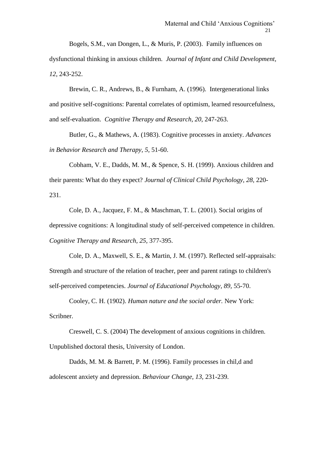Bogels, S.M., van Dongen, L., & Muris, P. (2003). Family influences on dysfunctional thinking in anxious children. *Journal of Infant and Child Development, 12*, 243-252.

Brewin, C. R., Andrews, B., & Furnham, A. (1996). Intergenerational links and positive self-cognitions: Parental correlates of optimism, learned resourcefulness, and self-evaluation. *Cognitive Therapy and Research, 20*, 247-263.

Butler, G., & Mathews, A. (1983). Cognitive processes in anxiety. *Advances in Behavior Research and Therapy, 5,* 51-60.

Cobham, V. E., Dadds, M. M., & Spence, S. H. (1999). Anxious children and their parents: What do they expect? *Journal of Clinical Child Psychology, 28,* 220- 231.

Cole, D. A., Jacquez, F. M., & Maschman, T. L. (2001). Social origins of depressive cognitions: A longitudinal study of self-perceived competence in children. *Cognitive Therapy and Research, 25,* 377-395.

Cole, D. A., Maxwell, S. E., & Martin, J. M. (1997). Reflected self-appraisals: Strength and structure of the relation of teacher, peer and parent ratings to children's self-perceived competencies. *Journal of Educational Psychology, 89,* 55-70.

Cooley, C. H. (1902). *Human nature and the social order.* New York: Scribner.

Creswell, C. S. (2004) The development of anxious cognitions in children. Unpublished doctoral thesis, University of London.

Dadds, M. M. & Barrett, P. M. (1996). Family processes in chil,d and adolescent anxiety and depression. *Behaviour Change, 13,* 231-239.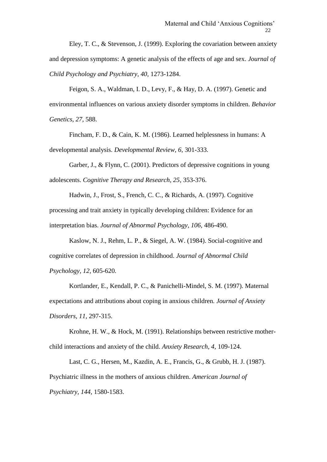Eley, T. C., & Stevenson, J. (1999). Exploring the covariation between anxiety and depression symptoms: A genetic analysis of the effects of age and sex. *Journal of Child Psychology and Psychiatry, 40,* 1273-1284.

Feigon, S. A., Waldman, I. D., Levy, F., & Hay, D. A. (1997). Genetic and environmental influences on various anxiety disorder symptoms in children*. Behavior Genetics, 27,* 588.

Fincham, F. D., & Cain, K. M. (1986). Learned helplessness in humans: A developmental analysis. *Developmental Review, 6,* 301-333.

Garber, J., & Flynn, C. (2001). Predictors of depressive cognitions in young adolescents. *Cognitive Therapy and Research, 25,* 353-376.

Hadwin, J., Frost, S., French, C. C., & Richards, A. (1997). Cognitive processing and trait anxiety in typically developing children: Evidence for an interpretation bias. *Journal of Abnormal Psychology, 106,* 486-490.

Kaslow, N. J., Rehm, L. P., & Siegel, A. W. (1984). Social-cognitive and cognitive correlates of depression in childhood. *Journal of Abnormal Child Psychology, 12,* 605-620.

Kortlander, E., Kendall, P. C., & Panichelli-Mindel, S. M. (1997). Maternal expectations and attributions about coping in anxious children. *Journal of Anxiety Disorders, 11,* 297-315.

Krohne, H. W.*,* & Hock, M. (1991). Relationships between restrictive motherchild interactions and anxiety of the child. *Anxiety Research, 4,* 109-124.

Last, C. G., Hersen, M., Kazdin, A. E., Francis, G., & Grubb, H. J. (1987). Psychiatric illness in the mothers of anxious children. *American Journal of Psychiatry, 144,* 1580-1583.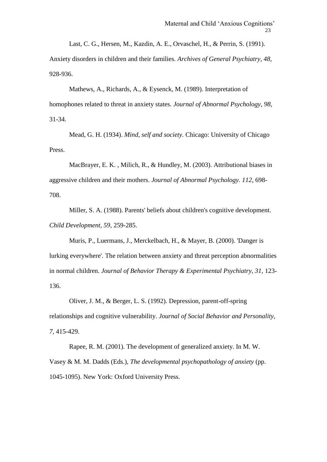Last, C. G., Hersen, M., Kazdin, A. E., Orvaschel, H., & Perrin, S. (1991). Anxiety disorders in children and their families. *Archives of General Psychiatry, 48,* 928-936.

Mathews, A., Richards, A., & Eysenck, M. (1989). Interpretation of homophones related to threat in anxiety states. *Journal of Abnormal Psychology, 98,* 31-34.

Mead, G. H. (1934). *Mind, self and society.* Chicago: University of Chicago Press.

MacBrayer, E. K. , Milich, R., & Hundley, M. (2003). Attributional biases in aggressive children and their mothers. *Journal of Abnormal Psychology. 112*, 698- 708.

Miller, S. A. (1988). Parents' beliefs about children's cognitive development. *Child Development, 59,* 259-285.

Muris, P., Luermans, J., Merckelbach, H., & Mayer, B. (2000). 'Danger is lurking everywhere'. The relation between anxiety and threat perception abnormalities in normal children. *Journal of Behavior Therapy & Experimental Psychiatry, 31,* 123- 136.

Oliver, J. M., & Berger, L. S. (1992). Depression, parent-off-spring relationships and cognitive vulnerability. *Journal of Social Behavior and Personality, 7,* 415-429.

Rapee, R. M. (2001). The development of generalized anxiety. In M. W. Vasey & M. M. Dadds (Eds.), *The developmental psychopathology of anxiety* (pp. 1045-1095). New York: Oxford University Press.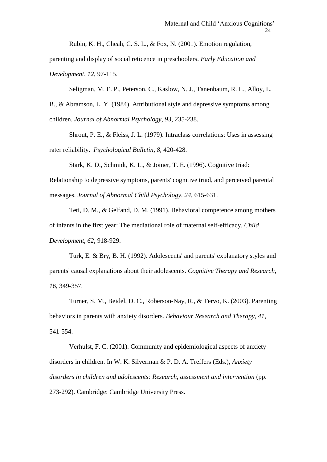Rubin, K. H., Cheah, C. S. L., & Fox, N. (2001). Emotion regulation,

parenting and display of social reticence in preschoolers. *Early Education and Development, 12*, 97-115.

Seligman, M. E. P., Peterson, C., Kaslow, N. J., Tanenbaum, R. L., Alloy, L. B., & Abramson, L. Y. (1984). Attributional style and depressive symptoms among children. *Journal of Abnormal Psychology, 93,* 235-238.

Shrout, P. E., & Fleiss, J. L. (1979). Intraclass correlations: Uses in assessing rater reliability. *Psychological Bulletin, 8,* 420-428.

Stark, K. D., Schmidt, K. L., & Joiner, T. E. (1996). Cognitive triad:

Relationship to depressive symptoms, parents' cognitive triad, and perceived parental messages. *Journal of Abnormal Child Psychology, 24,* 615-631.

Teti, D. M., & Gelfand, D. M. (1991). Behavioral competence among mothers of infants in the first year: The mediational role of maternal self-efficacy. *Child Development, 62,* 918-929.

Turk, E. & Bry, B. H. (1992). Adolescents' and parents' explanatory styles and parents' causal explanations about their adolescents. *Cognitive Therapy and Research, 16,* 349-357.

Turner, S. M., Beidel, D. C., Roberson-Nay, R., & Tervo, K. (2003). Parenting behaviors in parents with anxiety disorders. *Behaviour Research and Therapy, 41,* 541-554.

Verhulst, F. C. (2001). Community and epidemiological aspects of anxiety disorders in children. In W. K. Silverman & P. D. A. Treffers (Eds.), *Anxiety disorders in children and adolescents: Research, assessment and intervention* (pp. 273-292). Cambridge: Cambridge University Press.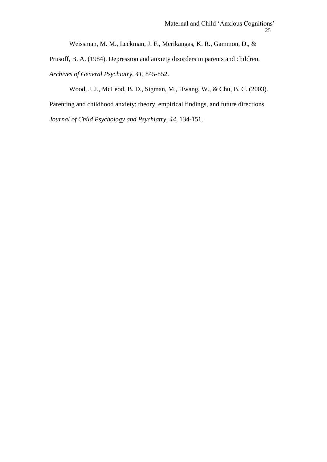Weissman, M. M., Leckman, J. F., Merikangas, K. R., Gammon, D., &

Prusoff, B. A. (1984). Depression and anxiety disorders in parents and children.

*Archives of General Psychiatry, 41,* 845-852.

Wood, J. J., McLeod, B. D., Sigman, M., Hwang, W., & Chu, B. C. (2003).

Parenting and childhood anxiety: theory, empirical findings, and future directions.

*Journal of Child Psychology and Psychiatry, 44*, 134-151.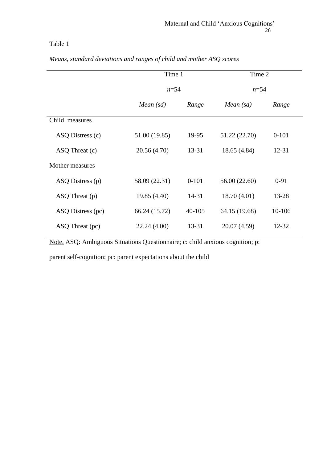|                    | Time 1        |            | Time 2        |           |  |
|--------------------|---------------|------------|---------------|-----------|--|
|                    | $n = 54$      |            | $n = 54$      |           |  |
|                    | Mean $(sd)$   | Range      |               | Range     |  |
| Child measures     |               |            |               |           |  |
| ASQ Distress (c)   | 51.00 (19.85) | 19-95      | 51.22 (22.70) | $0 - 101$ |  |
| $ASQ$ Threat $(c)$ | 20.56 (4.70)  | 13-31      | 18.65 (4.84)  | $12 - 31$ |  |
| Mother measures    |               |            |               |           |  |
| ASQ Distress (p)   | 58.09 (22.31) | $0-101$    | 56.00 (22.60) | $0 - 91$  |  |
| $ASQ$ Threat $(p)$ | 19.85 (4.40)  | 14-31      | 18.70(4.01)   | 13-28     |  |
| ASQ Distress (pc)  | 66.24 (15.72) | $40 - 105$ | 64.15 (19.68) | 10-106    |  |
| ASQ Threat (pc)    | 22.24 (4.00)  | 13-31      | 20.07 (4.59)  | 12-32     |  |

*Means, standard deviations and ranges of child and mother ASQ scores*

Note. ASQ: Ambiguous Situations Questionnaire; c: child anxious cognition; p:

parent self-cognition; pc: parent expectations about the child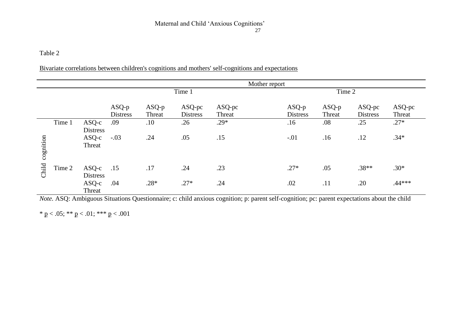| Bivariate correlations between children's cognitions and mothers' self-cognitions and expectations |  |
|----------------------------------------------------------------------------------------------------|--|
|----------------------------------------------------------------------------------------------------|--|

|           |        |                 |                 |         |                 |        | Mother report |                 |        |                 |        |
|-----------|--------|-----------------|-----------------|---------|-----------------|--------|---------------|-----------------|--------|-----------------|--------|
|           |        |                 | Time 1          |         |                 |        | Time 2        |                 |        |                 |        |
|           |        |                 |                 |         |                 |        |               |                 |        |                 |        |
|           |        |                 | $ASQ-p$         | $ASQ-p$ | ASQ-pc          | ASQ-pc |               | $ASQ-p$         | ASQ-p  | ASQ-pc          | ASQ-pc |
|           |        |                 | <b>Distress</b> | Threat  | <b>Distress</b> | Threat |               | <b>Distress</b> | Threat | <b>Distress</b> | Threat |
|           | Time 1 | $ASQ-c$         | .09             | .10     | .26             | $.29*$ |               | .16             | .08    | .25             | $.27*$ |
|           |        | <b>Distress</b> |                 |         |                 |        |               |                 |        |                 |        |
|           |        | $ASQ-c$         | $-.03$          | .24     | .05             | .15    |               | $-.01$          | .16    | .12             | $.34*$ |
|           |        | Threat          |                 |         |                 |        |               |                 |        |                 |        |
| cognition |        |                 |                 |         |                 |        |               |                 |        |                 |        |
|           |        |                 |                 |         |                 |        |               |                 |        |                 |        |
| Child     | Time 2 | $ASQ-c$         | .15             | .17     | .24             | .23    |               | $.27*$          | .05    | $.38**$         | $.30*$ |
|           |        | <b>Distress</b> |                 |         |                 |        |               |                 |        |                 |        |
|           |        | $ASQ-c$         | .04             | $.28*$  | $.27*$          | .24    |               | .02             | .11    | .20             | .44*** |
|           |        |                 |                 |         |                 |        |               |                 |        |                 |        |
|           |        | Threat          |                 |         |                 |        |               |                 |        |                 |        |

*Note.* ASQ: Ambiguous Situations Questionnaire; c: child anxious cognition; p: parent self-cognition; pc: parent expectations about the child

\* p < .05; \*\* p < .01; \*\*\* p < .001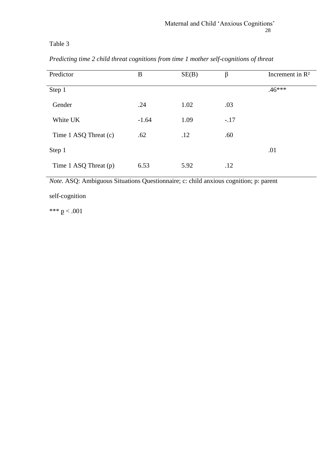| Predictor             | B       | SE(B) | $\beta$ | Increment in $\mathbb{R}^2$ |
|-----------------------|---------|-------|---------|-----------------------------|
| Step 1                |         |       |         | $.46***$                    |
| Gender                | .24     | 1.02  | .03     |                             |
| White UK              | $-1.64$ | 1.09  | $-.17$  |                             |
| Time 1 ASQ Threat (c) | .62     | .12   | .60     |                             |
| Step 1                |         |       |         | .01                         |
| Time 1 ASQ Threat (p) | 6.53    | 5.92  | .12     |                             |

*Predicting time 2 child threat cognitions from time 1 mother self-cognitions of threat*

*Note.* ASQ: Ambiguous Situations Questionnaire; c: child anxious cognition; p: parent

self-cognition

\*\*\*  $p < .001$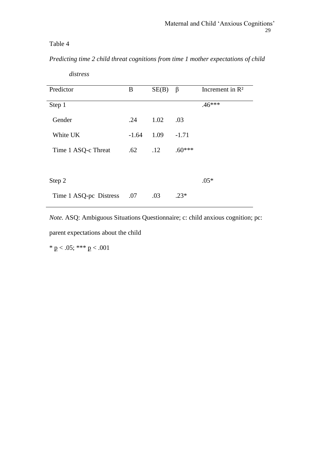*Predicting time 2 child threat cognitions from time 1 mother expectations of child* 

| Predictor              | B       | SE(B) | β        | Increment in $\mathbb{R}^2$ |
|------------------------|---------|-------|----------|-----------------------------|
| Step 1                 |         |       |          | $.46***$                    |
| Gender                 | .24     | 1.02  | .03      |                             |
| White UK               | $-1.64$ | 1.09  | $-1.71$  |                             |
| Time 1 ASQ-c Threat    | .62     | .12   | $.60***$ |                             |
|                        |         |       |          |                             |
| Step 2                 |         |       |          | $.05*$                      |
| Time 1 ASQ-pc Distress | .07     | .03   | $.23*$   |                             |

*distress*

*Note.* ASQ: Ambiguous Situations Questionnaire; c: child anxious cognition; pc:

parent expectations about the child

\* p < .05; \*\*\* p < .001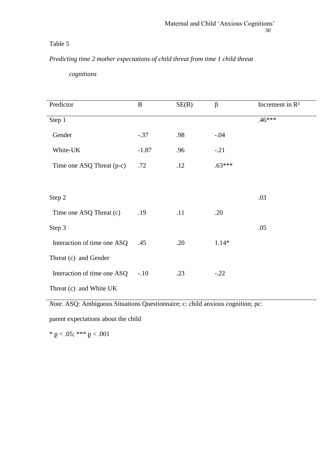# *Predicting time 2 mother expectations of child threat from time 1 child threat*

| cognitions |
|------------|
|------------|

| Predictor                   | $\bf{B}$ | SE(B) | $\beta$  | Increment in R <sup>2</sup> |
|-----------------------------|----------|-------|----------|-----------------------------|
| Step 1                      |          |       |          | $.46***$                    |
| Gender                      | $-.37$   | .98   | $-.04$   |                             |
| White-UK                    | $-1.87$  | .96   | $-.21$   |                             |
| Time one ASQ Threat (p-c)   | .72      | .12   | $.63***$ |                             |
|                             |          |       |          |                             |
| Step 2                      |          |       |          | .03                         |
| Time one ASQ Threat (c)     | .19      | .11   | .20      |                             |
| Step 3                      |          |       |          | .05                         |
| Interaction of time one ASQ | .45      | .20   | $1.14*$  |                             |
| Threat (c) and Gender       |          |       |          |                             |
| Interaction of time one ASQ | $-.10$   | .23   | $-.22$   |                             |
| Threat (c) and White UK     |          |       |          |                             |

*Note.* ASQ: Ambiguous Situations Questionnaire; c: child anxious cognition; pc:

parent expectations about the child

\* p < .05; \*\*\* p < .001